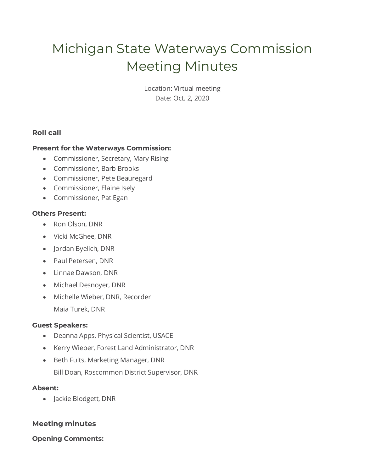# Michigan State Waterways Commission Meeting Minutes

Location: Virtual meeting Date: Oct. 2, 2020

# **Roll call**

#### **Present for the Waterways Commission:**

- Commissioner, Secretary, Mary Rising
- Commissioner, Barb Brooks
- Commissioner, Pete Beauregard
- Commissioner, Elaine Isely
- Commissioner, Pat Egan

#### **Others Present:**

- Ron Olson, DNR
- Vicki McGhee, DNR
- Jordan Byelich, DNR
- Paul Petersen, DNR
- Linnae Dawson, DNR
- Michael Desnoyer, DNR
- Michelle Wieber, DNR, Recorder Maia Turek, DNR

#### **Guest Speakers:**

- Deanna Apps, Physical Scientist, USACE
- Kerry Wieber, Forest Land Administrator, DNR
- Beth Fults, Marketing Manager, DNR Bill Doan, Roscommon District Supervisor, DNR

#### **Absent:**

• Jackie Blodgett, DNR

# **Meeting minutes**

#### **Opening Comments:**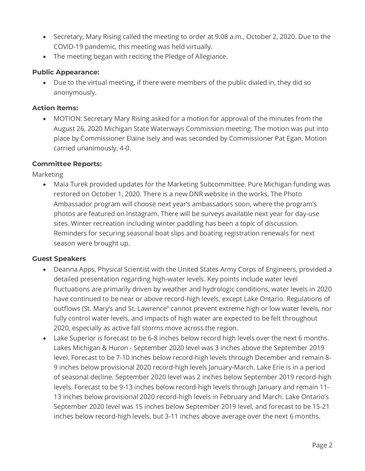- Secretary, Mary Rising called the meeting to order at 9:08 a.m., October 2, 2020. Due to the COVID-19 pandemic, this meeting was held virtually.
- The meeting began with reciting the Pledge of Allegiance.

#### **Public Appearance:**

• Due to the virtual meeting, if there were members of the public dialed in, they did so anonymously.

#### **Action Items:**

• MOTION: Secretary Mary Rising asked for a motion for approval of the minutes from the August 26, 2020 Michigan State Waterways Commission meeting. The motion was put into place by Commissioner Elaine Isely and was seconded by Commissioner Pat Egan. Motion carried unanimously, 4-0.

#### **Committee Reports:**

Marketing

• Maia Turek provided updates for the Marketing Subcommittee. Pure Michigan funding was restored on October 1, 2020. There is a new DNR website in the works. The Photo Ambassador program will choose next year's ambassadors soon, where the program's photos are featured on Instagram. There will be surveys available next year for day-use sites. Winter recreation including winter paddling has been a topic of discussion. Reminders for securing seasonal boat slips and boating registration renewals for next season were brought up.

# **Guest Speakers**

- Deanna Apps, Physical Scientist with the United States Army Corps of Engineers, provided a detailed presentation regarding high-water levels. Key points include water level fluctuations are primarily driven by weather and hydrologic conditions, water levels in 2020 have continued to be near or above record-high levels, except Lake Ontario. Regulations of outflows (St. Mary's and St. Lawrence" cannot prevent extreme high or low water levels, nor fully control water levels, and impacts of high water are expected to be felt throughout 2020, especially as active fall storms move across the region.
- Lake Superior is forecast to be 6-8 inches below record high levels over the next 6 months. Lakes Michigan & Huron - September 2020 level was 3 inches above the September 2019 level. Forecast to be 7-10 inches below record-high levels through December and remain 8- 9 inches below provisional 2020 record-high levels January-March. Lake Erie is in a period of seasonal decline. September 2020 level was 2 inches below September 2019 record-high levels. Forecast to be 9-13 inches below record-high levels through January and remain 11- 13 inches below provisional 2020 record-high levels in February and March. Lake Ontario's September 2020 level was 15 inches below September 2019 level, and forecast to be 15-21 inches below record-high levels, but 3-11 inches above average over the next 6 months.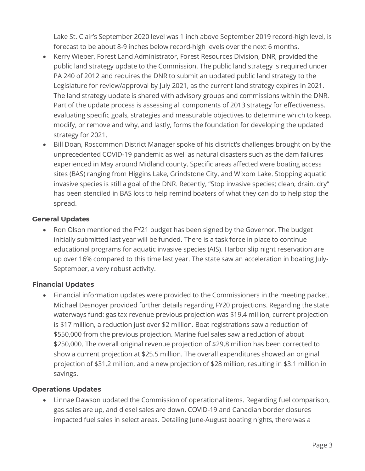Lake St. Clair's September 2020 level was 1 inch above September 2019 record-high level, is forecast to be about 8-9 inches below record-high levels over the next 6 months.

- Kerry Wieber, Forest Land Administrator, Forest Resources Division, DNR, provided the public land strategy update to the Commission. The public land strategy is required under PA 240 of 2012 and requires the DNR to submit an updated public land strategy to the Legislature for review/approval by July 2021, as the current land strategy expires in 2021. The land strategy update is shared with advisory groups and commissions within the DNR. Part of the update process is assessing all components of 2013 strategy for effectiveness, evaluating specific goals, strategies and measurable objectives to determine which to keep, modify, or remove and why, and lastly, forms the foundation for developing the updated strategy for 2021.
- Bill Doan, Roscommon District Manager spoke of his district's challenges brought on by the unprecedented COVID-19 pandemic as well as natural disasters such as the dam failures experienced in May around Midland county. Specific areas affected were boating access sites (BAS) ranging from Higgins Lake, Grindstone City, and Wixom Lake. Stopping aquatic invasive species is still a goal of the DNR. Recently, "Stop invasive species; clean, drain, dry" has been stenciled in BAS lots to help remind boaters of what they can do to help stop the spread.

# **General Updates**

• Ron Olson mentioned the FY21 budget has been signed by the Governor. The budget initially submitted last year will be funded. There is a task force in place to continue educational programs for aquatic invasive species (AIS). Harbor slip night reservation are up over 16% compared to this time last year. The state saw an acceleration in boating July-September, a very robust activity.

# **Financial Updates**

• Financial information updates were provided to the Commissioners in the meeting packet. Michael Desnoyer provided further details regarding FY20 projections. Regarding the state waterways fund: gas tax revenue previous projection was \$19.4 million, current projection is \$17 million, a reduction just over \$2 million. Boat registrations saw a reduction of \$550,000 from the previous projection. Marine fuel sales saw a reduction of about \$250,000. The overall original revenue projection of \$29.8 million has been corrected to show a current projection at \$25.5 million. The overall expenditures showed an original projection of \$31.2 million, and a new projection of \$28 million, resulting in \$3.1 million in savings.

# **Operations Updates**

• Linnae Dawson updated the Commission of operational items. Regarding fuel comparison, gas sales are up, and diesel sales are down. COVID-19 and Canadian border closures impacted fuel sales in select areas. Detailing June-August boating nights, there was a